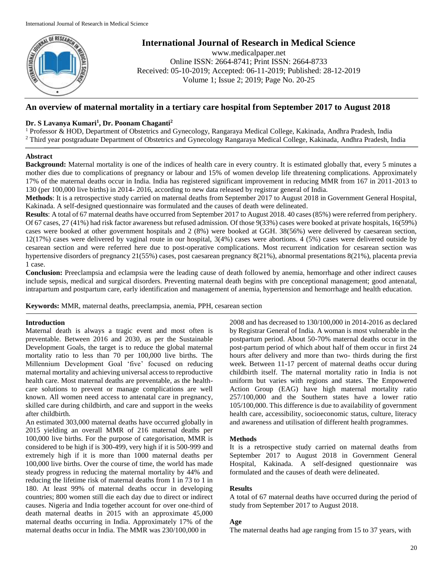

# **International Journal of Research in Medical Science**

www.medicalpaper.net Online ISSN: 2664-8741; Print ISSN: 2664-8733 Received: 05-10-2019; Accepted: 06-11-2019; Published: 28-12-2019 Volume 1; Issue 2; 2019; Page No. 20-25

# **An overview of maternal mortality in a tertiary care hospital from September 2017 to August 2018**

# **Dr. S Lavanya Kumari<sup>1</sup> , Dr. Poonam Chaganti<sup>2</sup>**

<sup>1</sup> Professor & HOD, Department of Obstetrics and Gynecology, Rangaraya Medical College, Kakinada, Andhra Pradesh, India <sup>2</sup> Third year postgraduate Department of Obstetrics and Gynecology Rangaraya Medical College, Kakinada, Andhra Pradesh, India

# **Abstract**

**Background:** Maternal mortality is one of the indices of health care in every country. It is estimated globally that, every 5 minutes a mother dies due to complications of pregnancy or labour and 15% of women develop life threatening complications. Approximately 17% of the maternal deaths occur in India. India has registered significant improvement in reducing MMR from 167 in 2011-2013 to 130 (per 100,000 live births) in 2014- 2016, according to new data released by registrar general of India.

**Methods**: It is a retrospective study carried on maternal deaths from September 2017 to August 2018 in Government General Hospital, Kakinada. A self-designed questionnaire was formulated and the causes of death were delineated.

**Results**: A total of 67 maternal deaths have occurred from September 2017 to August 2018. 40 cases (85%) were referred from periphery. Of 67 cases, 27 (41%) had risk factor awareness but refused admission. Of those 9(33%) cases were booked at private hospitals, 16(59%) cases were booked at other government hospitals and 2 (8%) were booked at GGH. 38(56%) were delivered by caesarean section, 12(17%) cases were delivered by vaginal route in our hospital, 3(4%) cases were abortions. 4 (5%) cases were delivered outside by cesarean section and were referred here due to post-operative complications. Most recurrent indication for cesarean section was hypertensive disorders of pregnancy 21(55%) cases, post caesarean pregnancy 8(21%), abnormal presentations 8(21%), placenta previa 1 case.

**Conclusion:** Preeclampsia and eclampsia were the leading cause of death followed by anemia, hemorrhage and other indirect causes include sepsis, medical and surgical disorders. Preventing maternal death begins with pre conceptional management; good antenatal, intrapartum and postpartum care, early identification and management of anemia, hypertension and hemorrhage and health education.

**Keywords:** MMR, maternal deaths, preeclampsia, anemia, PPH, cesarean section

# **Introduction**

Maternal death is always a tragic event and most often is preventable. Between 2016 and 2030, as per the Sustainable Development Goals, the target is to reduce the global maternal mortality ratio to less than 70 per 100,000 live births. The Millennium Development Goal 'five' focused on reducing maternal mortality and achieving universal access to reproductive health care. Most maternal deaths are preventable, as the healthcare solutions to prevent or manage complications are well known. All women need access to antenatal care in pregnancy, skilled care during childbirth, and care and support in the weeks after childbirth.

An estimated 303,000 maternal deaths have occurred globally in 2015 yielding an overall MMR of 216 maternal deaths per 100,000 live births. For the purpose of categorisation, MMR is considered to be high if is 300-499, very high if it is 500-999 and extremely high if it is more than 1000 maternal deaths per 100,000 live births. Over the course of time, the world has made steady progress in reducing the maternal mortality by 44% and reducing the lifetime risk of maternal deaths from 1 in 73 to 1 in 180. At least 99% of maternal deaths occur in developing countries; 800 women still die each day due to direct or indirect causes. Nigeria and India together account for over one-third of death maternal deaths in 2015 with an approximate 45,000 maternal deaths occurring in India. Approximately 17% of the maternal deaths occur in India. The MMR was 230/100,000 in

2008 and has decreased to 130/100,000 in 2014-2016 as declared by Registrar General of India. A woman is most vulnerable in the postpartum period. About 50-70% maternal deaths occur in the post-partum period of which about half of them occur in first 24 hours after delivery and more than two- thirds during the first week. Between 11-17 percent of maternal deaths occur during childbirth itself. The maternal mortality ratio in India is not uniform but varies with regions and states. The Empowered Action Group (EAG) have high maternal mortality ratio 257/100,000 and the Southern states have a lower ratio 105/100,000. This difference is due to availability of government health care, accessibility, socioeconomic status, culture, literacy and awareness and utilisation of different health programmes.

# **Methods**

It is a retrospective study carried on maternal deaths from September 2017 to August 2018 in Government General Hospital, Kakinada. A self-designed questionnaire was formulated and the causes of death were delineated.

# **Results**

A total of 67 maternal deaths have occurred during the period of study from September 2017 to August 2018.

# **Age**

The maternal deaths had age ranging from 15 to 37 years, with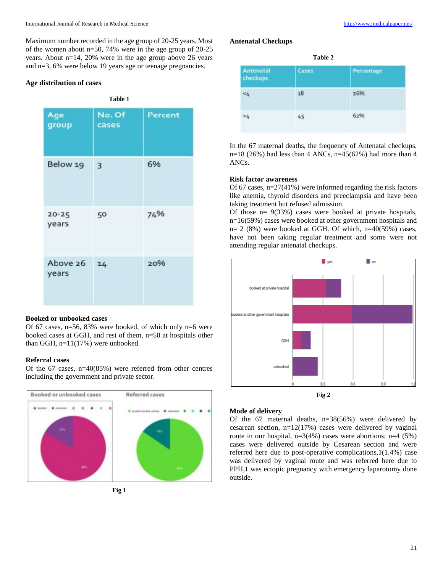Maximum number recorded in the age group of 20-25 years. Most of the women about n=50, 74% were in the age group of 20-25 years. About n=14, 20% were in the age group above 26 years and n=3, 6% were below 19 years age or teenage pregnancies.

## **Age distribution of cases**

| <b>Table 1</b>     |                 |         |  |
|--------------------|-----------------|---------|--|
| Age<br>group       | No. Of<br>cases | Percent |  |
| Below 19           | 3               | 6%      |  |
| $20 - 25$<br>years | 50              | 74%     |  |
| Above 26<br>years  | 14              | 20%     |  |

#### **Booked or unbooked cases**

Of 67 cases, n=56, 83% were booked, of which only n=6 were booked cases at GGH, and rest of them, n=50 at hospitals other than GGH, n=11(17%) were unbooked.

## **Referral cases**

Of the 67 cases, n=40(85%) were referred from other centres including the government and private sector.



**Fig 1**

## **Antenatal Checkups**

| Table 2               |       |            |  |  |
|-----------------------|-------|------------|--|--|
| Antenatal<br>checkups | Cases | Percentage |  |  |
| 45                    | 18    | 26%        |  |  |
| >4                    | 45    | 62%        |  |  |
|                       |       |            |  |  |

In the 67 maternal deaths, the frequency of Antenatal checkups,  $n=18$  (26%) had less than 4 ANCs,  $n=45(62%)$  had more than 4 ANCs.

## **Risk factor awareness**

Of 67 cases, n=27(41%) were informed regarding the risk factors like anemia, thyroid disorders and preeclampsia and have been taking treatment but refused admission.

Of those  $n= 9(33%)$  cases were booked at private hospitals, n=16(59%) cases were booked at other government hospitals and  $n= 2$  (8%) were booked at GGH. Of which,  $n=40(59\%)$  cases, have not been taking regular treatment and some were not attending regular antenatal checkups.



## **Mode of delivery**

Of the 67 maternal deaths, n=38(56%) were delivered by cesarean section, n=12(17%) cases were delivered by vaginal route in our hospital, n=3(4%) cases were abortions; n=4 (5%) cases were delivered outside by Cesarean section and were referred here due to post-operative complications,1(1.4%) case was delivered by vaginal route and was referred here due to PPH,1 was ectopic pregnancy with emergency laparotomy done outside.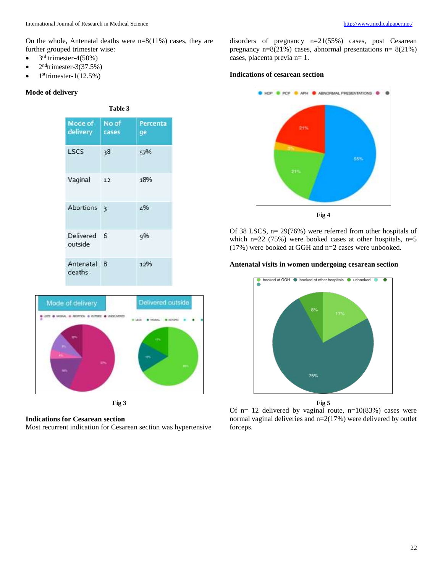On the whole, Antenatal deaths were n=8(11%) cases, they are further grouped trimester wise:

- $3<sup>rd</sup>$  trimester-4(50%)
- $\bullet$  2<sup>nd</sup>trimester-3(37.5%)
- $\bullet$  1<sup>st</sup>trimester-1(12.5%)

## **Mode of delivery**

| Table 3                |                |                  |  |  |
|------------------------|----------------|------------------|--|--|
| Mode of  <br>delivery  | No of<br>cases | Percenta<br>ge - |  |  |
| LSCS                   | 38             | 57%              |  |  |
| Vaginal                | 12             | 18%              |  |  |
| Abortions <sub>3</sub> |                | 4%               |  |  |
| Delivered 6<br>outside |                | 9%               |  |  |
| Antenatal 8<br>deaths  |                | 12%              |  |  |



**Fig 3**

**Indications for Cesarean section**

Most recurrent indication for Cesarean section was hypertensive

disorders of pregnancy n=21(55%) cases, post Cesarean pregnancy n=8(21%) cases, abnormal presentations n= 8(21%) cases, placenta previa n= 1.

#### **Indications of cesarean section**



Of 38 LSCS, n= 29(76%) were referred from other hospitals of which  $n=22$  (75%) were booked cases at other hospitals,  $n=5$ (17%) were booked at GGH and n=2 cases were unbooked.

#### **Antenatal visits in women undergoing cesarean section**



Of  $n= 12$  delivered by vaginal route,  $n=10(83%)$  cases were normal vaginal deliveries and n=2(17%) were delivered by outlet forceps.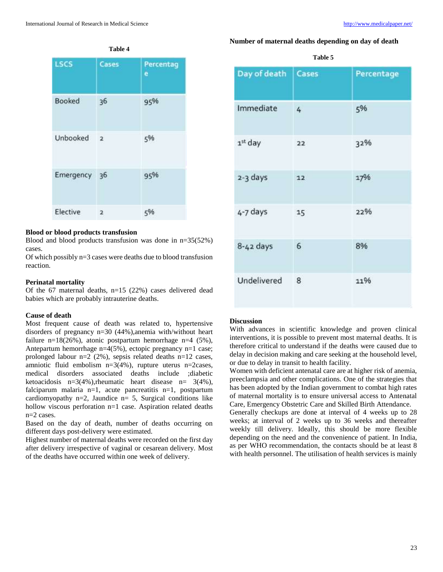# LSCS Cases Percentag e Booked  $36$  $95%$ Unbooked  $\overline{2}$ 5% Emergency 36 95% Elective 5%  $\overline{2}$

#### **Table 4**

#### **Blood or blood products transfusion**

Blood and blood products transfusion was done in n=35(52%) cases.

Of which possibly n=3 cases were deaths due to blood transfusion reaction.

## **Perinatal mortality**

Of the 67 maternal deaths, n=15 (22%) cases delivered dead babies which are probably intrauterine deaths.

#### **Cause of death**

Most frequent cause of death was related to, hypertensive disorders of pregnancy n=30 (44%),anemia with/without heart failure n=18(26%), atonic postpartum hemorrhage n=4 (5%), Antepartum hemorrhage n=4(5%), ectopic pregnancy n=1 case; prolonged labour n=2 (2%), sepsis related deaths n=12 cases, amniotic fluid embolism n=3(4%), rupture uterus n=2cases, medical disorders associated deaths include ;diabetic ketoacidosis n=3(4%), rheumatic heart disease n=  $3(4\%)$ , falciparum malaria n=1, acute pancreatitis n=1, postpartum cardiomyopathy n=2, Jaundice n= 5, Surgical conditions like hollow viscous perforation n=1 case. Aspiration related deaths n=2 cases.

Based on the day of death, number of deaths occurring on different days post-delivery were estimated.

Highest number of maternal deaths were recorded on the first day after delivery irrespective of vaginal or cesarean delivery. Most of the deaths have occurred within one week of delivery.

## **Number of maternal deaths depending on day of death**

| Table 5 |  |
|---------|--|
|         |  |

| Day of death        | Cases | Percentage |
|---------------------|-------|------------|
| Immediate           | 4     | 5%         |
| 1 <sup>st</sup> day | 22    | 32%        |
| 2-3 days            | 12    | 17%        |
| 4-7 days            | 15    | 22%        |
| $8-42$ days         | 6     | 8%         |
| Undelivered         | 8     | 11%        |

#### **Discussion**

With advances in scientific knowledge and proven clinical interventions, it is possible to prevent most maternal deaths. It is therefore critical to understand if the deaths were caused due to delay in decision making and care seeking at the household level, or due to delay in transit to health facility.

Women with deficient antenatal care are at higher risk of anemia, preeclampsia and other complications. One of the strategies that has been adopted by the Indian government to combat high rates of maternal mortality is to ensure universal access to Antenatal Care, Emergency Obstetric Care and Skilled Birth Attendance.

Generally checkups are done at interval of 4 weeks up to 28 weeks; at interval of 2 weeks up to 36 weeks and thereafter weekly till delivery. Ideally, this should be more flexible depending on the need and the convenience of patient. In India, as per WHO recommendation, the contacts should be at least 8 with health personnel. The utilisation of health services is mainly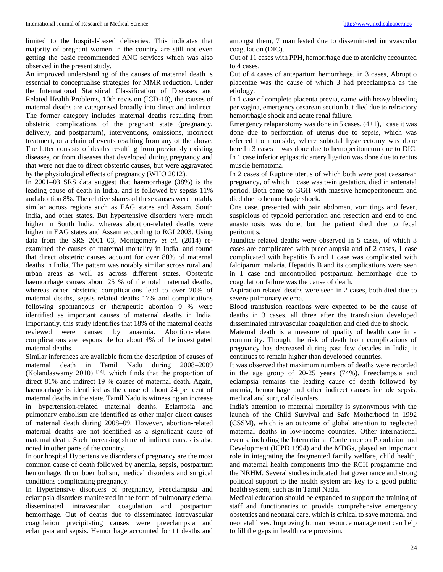limited to the hospital-based deliveries. This indicates that majority of pregnant women in the country are still not even getting the basic recommended ANC services which was also observed in the present study.

An improved understanding of the causes of maternal death is essential to conceptualise strategies for MMR reduction. Under the International Statistical Classification of Diseases and Related Health Problems, 10th revision (ICD-10), the causes of maternal deaths are categorised broadly into direct and indirect. The former category includes maternal deaths resulting from obstetric complications of the pregnant state (pregnancy, delivery, and postpartum), interventions, omissions, incorrect treatment, or a chain of events resulting from any of the above. The latter consists of deaths resulting from previously existing diseases, or from diseases that developed during pregnancy and that were not due to direct obstetric causes, but were aggravated by the physiological effects of pregnancy (WHO 2012).

In 2001–03 SRS data suggest that haemorrhage (38%) is the leading cause of death in India, and is followed by sepsis 11% and abortion 8%. The relative shares of these causes were notably similar across regions such as EAG states and Assam, South India, and other states. But hypertensive disorders were much higher in South India, whereas abortion-related deaths were higher in EAG states and Assam according to RGI 2003. Using data from the SRS 2001–03, Montgomery *et al*. (2014) reexamined the causes of maternal mortality in India, and found that direct obstetric causes account for over 80% of maternal deaths in India. The pattern was notably similar across rural and urban areas as well as across different states. Obstetric haemorrhage causes about 25 % of the total maternal deaths, whereas other obstetric complications lead to over 20% of maternal deaths, sepsis related deaths 17% and complications following spontaneous or therapeutic abortion 9 % were identified as important causes of maternal deaths in India. Importantly, this study identifies that 18% of the maternal deaths reviewed were caused by anaemia. Abortion-related complications are responsible for about 4% of the investigated maternal deaths.

Similar inferences are available from the description of causes of maternal death in Tamil Nadu during 2008–2009 (Kolandaswamy 2010) [14], which finds that the proportion of direct 81% and indirect 19 % causes of maternal death. Again, haemorrhage is identified as the cause of about 24 per cent of maternal deaths in the state. Tamil Nadu is witnessing an increase in hypertension-related maternal deaths. Eclampsia and pulmonary embolism are identified as other major direct causes of maternal death during 2008–09. However, abortion-related maternal deaths are not identified as a significant cause of maternal death. Such increasing share of indirect causes is also noted in other parts of the country.

In our hospital Hypertensive disorders of pregnancy are the most common cause of death followed by anemia, sepsis, postpartum hemorrhage, thromboembolism, medical disorders and surgical conditions complicating pregnancy.

In Hypertensive disorders of pregnancy, Preeclampsia and eclampsia disorders manifested in the form of pulmonary edema, disseminated intravascular coagulation and postpartum hemorrhage. Out of deaths due to disseminated intravascular coagulation precipitating causes were preeclampsia and eclampsia and sepsis. Hemorrhage accounted for 11 deaths and

amongst them, 7 manifested due to disseminated intravascular coagulation (DIC).

Out of 11 cases with PPH, hemorrhage due to atonicity accounted to 4 cases.

Out of 4 cases of antepartum hemorrhage, in 3 cases, Abruptio placentae was the cause of which 3 had preeclampsia as the etiology.

In 1 case of complete placenta previa, came with heavy bleeding per vagina, emergency cesarean section but died due to refractory hemorrhagic shock and acute renal failure.

Emergency relaparotomy was done in 5 cases,  $(4+1)$ , case it was done due to perforation of uterus due to sepsis, which was referred from outside, where subtotal hysterectomy was done here.In 3 cases it was done due to hemoperitoneum due to DIC. In 1 case inferior epigastric artery ligation was done due to rectus muscle hematoma.

In 2 cases of Rupture uterus of which both were post caesarean pregnancy, of which 1 case was twin gestation, died in antenatal period. Both came to GGH with massive hemoperitoneum and died due to hemorrhagic shock.

One case, presented with pain abdomen, vomitings and fever, suspicious of typhoid perforation and resection and end to end anastomosis was done, but the patient died due to fecal peritonitis.

Jaundice related deaths were observed in 5 cases, of which 3 cases are complicated with preeclampsia and of 2 cases, 1 case complicated with hepatitis B and 1 case was complicated with falciparum malaria. Hepatitis B and its complications were seen in 1 case and uncontrolled postpartum hemorrhage due to coagulation failure was the cause of death.

Aspiration related deaths were seen in 2 cases, both died due to severe pulmonary edema.

Blood transfusion reactions were expected to be the cause of deaths in 3 cases, all three after the transfusion developed disseminated intravascular coagulation and died due to shock.

Maternal death is a measure of quality of health care in a community. Though, the risk of death from complications of pregnancy has decreased during past few decades in India, it continues to remain higher than developed countries.

It was observed that maximum numbers of deaths were recorded in the age group of 20-25 years (74%). Preeclampsia and eclampsia remains the leading cause of death followed by anemia, hemorrhage and other indirect causes include sepsis, medical and surgical disorders.

India's attention to maternal mortality is synonymous with the launch of the Child Survival and Safe Motherhood in 1992 (CSSM), which is an outcome of global attention to neglected maternal deaths in low-income countries. Other international events, including the International Conference on Population and Development (ICPD 1994) and the MDGs, played an important role in integrating the fragmented family welfare, child health, and maternal health components into the RCH programme and the NRHM. Several studies indicated that governance and strong political support to the health system are key to a good public health system, such as in Tamil Nadu.

Medical education should be expanded to support the training of staff and functionaries to provide comprehensive emergency obstetrics and neonatal care, which is critical to save maternal and neonatal lives. Improving human resource management can help to fill the gaps in health care provision.